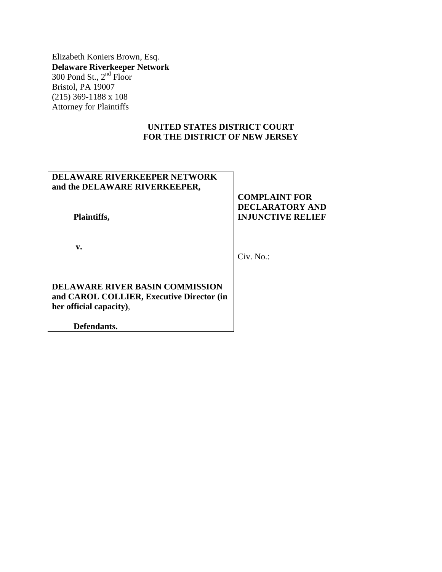Elizabeth Koniers Brown, Esq. **Delaware Riverkeeper Network** 300 Pond St.,  $2<sup>nd</sup>$  Floor Bristol, PA 19007 (215) 369-1188 x 108 Attorney for Plaintiffs

## **UNITED STATES DISTRICT COURT FOR THE DISTRICT OF NEW JERSEY**

# **DELAWARE RIVERKEEPER NETWORK and the DELAWARE RIVERKEEPER,**

 **Plaintiffs,**

 **v.**

Civ. No.:

**COMPLAINT FOR DECLARATORY AND INJUNCTIVE RELIEF**

**DELAWARE RIVER BASIN COMMISSION and CAROL COLLIER, Executive Director (in her official capacity)**,

 **Defendants.**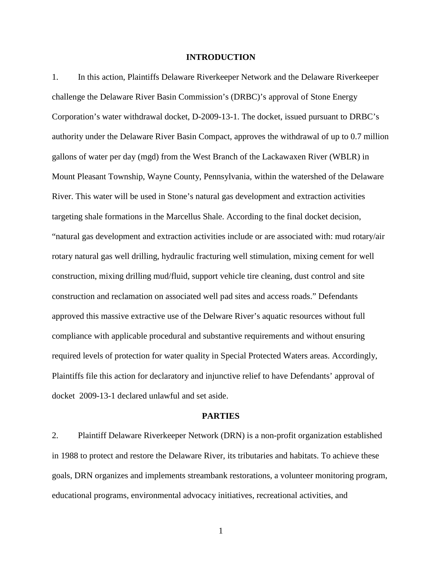#### **INTRODUCTION**

1. In this action, Plaintiffs Delaware Riverkeeper Network and the Delaware Riverkeeper challenge the Delaware River Basin Commission's (DRBC)'s approval of Stone Energy Corporation's water withdrawal docket, D-2009-13-1. The docket, issued pursuant to DRBC's authority under the Delaware River Basin Compact, approves the withdrawal of up to 0.7 million gallons of water per day (mgd) from the West Branch of the Lackawaxen River (WBLR) in Mount Pleasant Township, Wayne County, Pennsylvania, within the watershed of the Delaware River. This water will be used in Stone's natural gas development and extraction activities targeting shale formations in the Marcellus Shale. According to the final docket decision, "natural gas development and extraction activities include or are associated with: mud rotary/air rotary natural gas well drilling, hydraulic fracturing well stimulation, mixing cement for well construction, mixing drilling mud/fluid, support vehicle tire cleaning, dust control and site construction and reclamation on associated well pad sites and access roads." Defendants approved this massive extractive use of the Delware River's aquatic resources without full compliance with applicable procedural and substantive requirements and without ensuring required levels of protection for water quality in Special Protected Waters areas. Accordingly, Plaintiffs file this action for declaratory and injunctive relief to have Defendants' approval of docket 2009-13-1 declared unlawful and set aside.

#### **PARTIES**

2. Plaintiff Delaware Riverkeeper Network (DRN) is a non-profit organization established in 1988 to protect and restore the Delaware River, its tributaries and habitats. To achieve these goals, DRN organizes and implements streambank restorations, a volunteer monitoring program, educational programs, environmental advocacy initiatives, recreational activities, and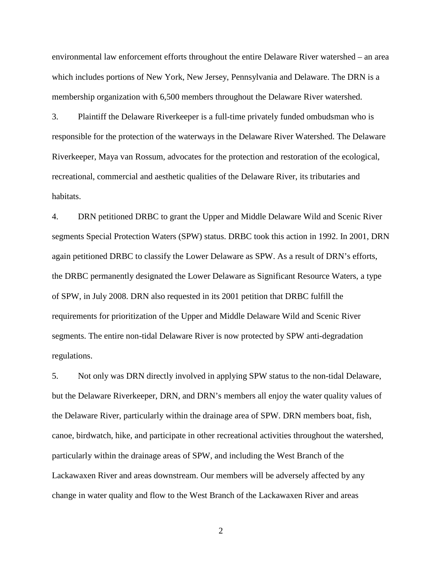environmental law enforcement efforts throughout the entire Delaware River watershed – an area which includes portions of New York, New Jersey, Pennsylvania and Delaware. The DRN is a membership organization with 6,500 members throughout the Delaware River watershed.

3. Plaintiff the Delaware Riverkeeper is a full-time privately funded ombudsman who is responsible for the protection of the waterways in the Delaware River Watershed. The Delaware Riverkeeper, Maya van Rossum, advocates for the protection and restoration of the ecological, recreational, commercial and aesthetic qualities of the Delaware River, its tributaries and habitats.

4. DRN petitioned DRBC to grant the Upper and Middle Delaware Wild and Scenic River segments Special Protection Waters (SPW) status. DRBC took this action in 1992. In 2001, DRN again petitioned DRBC to classify the Lower Delaware as SPW. As a result of DRN's efforts, the DRBC permanently designated the Lower Delaware as Significant Resource Waters, a type of SPW, in July 2008. DRN also requested in its 2001 petition that DRBC fulfill the requirements for prioritization of the Upper and Middle Delaware Wild and Scenic River segments. The entire non-tidal Delaware River is now protected by SPW anti-degradation regulations.

5. Not only was DRN directly involved in applying SPW status to the non-tidal Delaware, but the Delaware Riverkeeper, DRN, and DRN's members all enjoy the water quality values of the Delaware River, particularly within the drainage area of SPW. DRN members boat, fish, canoe, birdwatch, hike, and participate in other recreational activities throughout the watershed, particularly within the drainage areas of SPW, and including the West Branch of the Lackawaxen River and areas downstream. Our members will be adversely affected by any change in water quality and flow to the West Branch of the Lackawaxen River and areas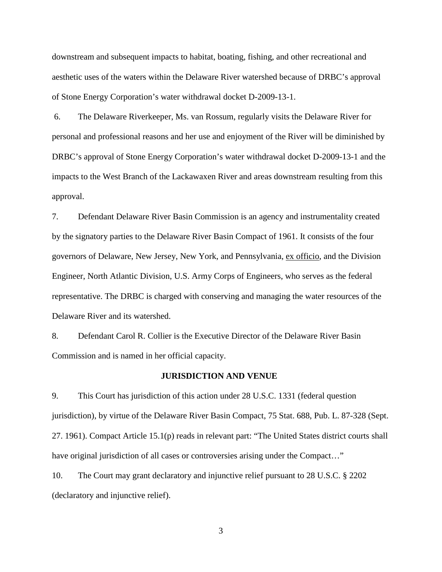downstream and subsequent impacts to habitat, boating, fishing, and other recreational and aesthetic uses of the waters within the Delaware River watershed because of DRBC's approval of Stone Energy Corporation's water withdrawal docket D-2009-13-1.

6. The Delaware Riverkeeper, Ms. van Rossum, regularly visits the Delaware River for personal and professional reasons and her use and enjoyment of the River will be diminished by DRBC's approval of Stone Energy Corporation's water withdrawal docket D-2009-13-1 and the impacts to the West Branch of the Lackawaxen River and areas downstream resulting from this approval.

7. Defendant Delaware River Basin Commission is an agency and instrumentality created by the signatory parties to the Delaware River Basin Compact of 1961. It consists of the four governors of Delaware, New Jersey, New York, and Pennsylvania, ex officio, and the Division Engineer, North Atlantic Division, U.S. Army Corps of Engineers, who serves as the federal representative. The DRBC is charged with conserving and managing the water resources of the Delaware River and its watershed.

8. Defendant Carol R. Collier is the Executive Director of the Delaware River Basin Commission and is named in her official capacity.

#### **JURISDICTION AND VENUE**

9. This Court has jurisdiction of this action under 28 U.S.C. 1331 (federal question jurisdiction), by virtue of the Delaware River Basin Compact, 75 Stat. 688, Pub. L. 87-328 (Sept. 27. 1961). Compact Article 15.1(p) reads in relevant part: "The United States district courts shall have original jurisdiction of all cases or controversies arising under the Compact..."

10. The Court may grant declaratory and injunctive relief pursuant to 28 U.S.C. § 2202 (declaratory and injunctive relief).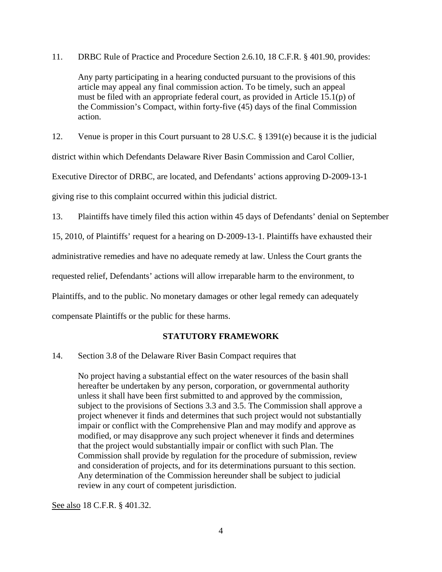11. DRBC Rule of Practice and Procedure Section 2.6.10, 18 C.F.R. § 401.90, provides:

Any party participating in a hearing conducted pursuant to the provisions of this article may appeal any final commission action. To be timely, such an appeal must be filed with an appropriate federal court, as provided in Article 15.1(p) of the Commission's Compact, within forty-five (45) days of the final Commission action.

12. Venue is proper in this Court pursuant to 28 U.S.C. § 1391(e) because it is the judicial

district within which Defendants Delaware River Basin Commission and Carol Collier,

Executive Director of DRBC, are located, and Defendants' actions approving D-2009-13-1

giving rise to this complaint occurred within this judicial district.

13. Plaintiffs have timely filed this action within 45 days of Defendants' denial on September

15, 2010, of Plaintiffs' request for a hearing on D-2009-13-1. Plaintiffs have exhausted their

administrative remedies and have no adequate remedy at law. Unless the Court grants the

requested relief, Defendants' actions will allow irreparable harm to the environment, to

Plaintiffs, and to the public. No monetary damages or other legal remedy can adequately

compensate Plaintiffs or the public for these harms.

## **STATUTORY FRAMEWORK**

### 14. Section 3.8 of the Delaware River Basin Compact requires that

No project having a substantial effect on the water resources of the basin shall hereafter be undertaken by any person, corporation, or governmental authority unless it shall have been first submitted to and approved by the commission, subject to the provisions of Sections 3.3 and 3.5. The Commission shall approve a project whenever it finds and determines that such project would not substantially impair or conflict with the Comprehensive Plan and may modify and approve as modified, or may disapprove any such project whenever it finds and determines that the project would substantially impair or conflict with such Plan. The Commission shall provide by regulation for the procedure of submission, review and consideration of projects, and for its determinations pursuant to this section. Any determination of the Commission hereunder shall be subject to judicial review in any court of competent jurisdiction.

See also 18 C.F.R. § 401.32.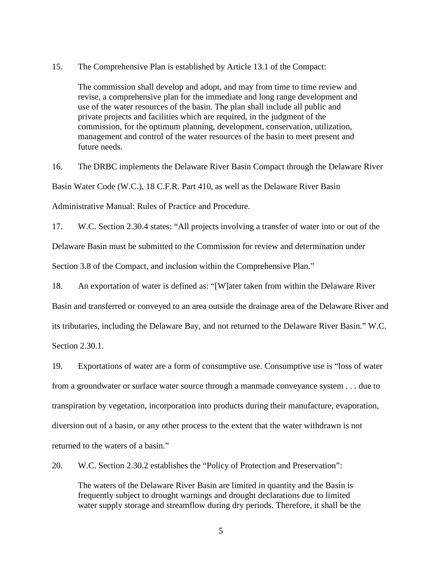15. The Comprehensive Plan is established by Article 13.1 of the Compact:

The commission shall develop and adopt, and may from time to time review and revise, a comprehensive plan for the immediate and long range development and use of the water resources of the basin. The plan shall include all public and private projects and facilities which are required, in the judgment of the commission, for the optimum planning, development, conservation, utilization, management and control of the water resources of the basin to meet present and future needs.

16. The DRBC implements the Delaware River Basin Compact through the Delaware River Basin Water Code (W.C.), 18 C.F.R. Part 410, as well as the Delaware River Basin Administrative Manual: Rules of Practice and Procedure.

17. W.C. Section 2.30.4 states: "All projects involving a transfer of water into or out of the

Delaware Basin must be submitted to the Commission for review and determination under

Section 3.8 of the Compact, and inclusion within the Comprehensive Plan."

18. An exportation of water is defined as: "[W]ater taken from within the Delaware River Basin and transferred or conveyed to an area outside the drainage area of the Delaware River and its tributaries, including the Delaware Bay, and not returned to the Delaware River Basin." W.C. Section 2.30.1.

19. Exportations of water are a form of consumptive use. Consumptive use is "loss of water from a groundwater or surface water source through a manmade conveyance system . . . due to transpiration by vegetation, incorporation into products during their manufacture, evaporation, diversion out of a basin, or any other process to the extent that the water withdrawn is not returned to the waters of a basin."

20. W.C. Section 2.30.2 establishes the "Policy of Protection and Preservation":

The waters of the Delaware River Basin are limited in quantity and the Basin is frequently subject to drought warnings and drought declarations due to limited water supply storage and streamflow during dry periods. Therefore, it shall be the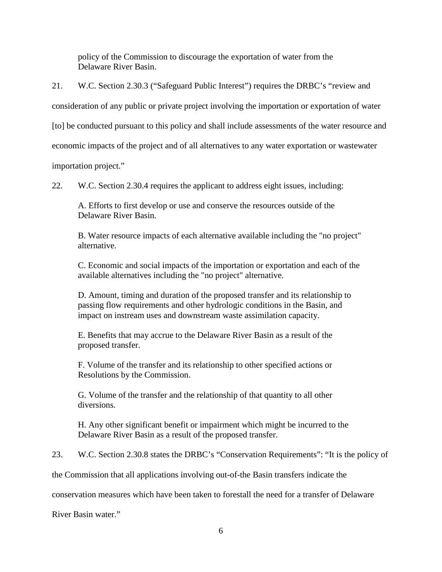policy of the Commission to discourage the exportation of water from the Delaware River Basin.

21. W.C. Section 2.30.3 ("Safeguard Public Interest") requires the DRBC's "review and

consideration of any public or private project involving the importation or exportation of water

[to] be conducted pursuant to this policy and shall include assessments of the water resource and

economic impacts of the project and of all alternatives to any water exportation or wastewater

importation project."

22. W.C. Section 2.30.4 requires the applicant to address eight issues, including:

A. Efforts to first develop or use and conserve the resources outside of the Delaware River Basin.

B. Water resource impacts of each alternative available including the "no project" alternative.

C. Economic and social impacts of the importation or exportation and each of the available alternatives including the "no project" alternative.

D. Amount, timing and duration of the proposed transfer and its relationship to passing flow requirements and other hydrologic conditions in the Basin, and impact on instream uses and downstream waste assimilation capacity.

E. Benefits that may accrue to the Delaware River Basin as a result of the proposed transfer.

F. Volume of the transfer and its relationship to other specified actions or Resolutions by the Commission.

G. Volume of the transfer and the relationship of that quantity to all other diversions.

H. Any other significant benefit or impairment which might be incurred to the Delaware River Basin as a result of the proposed transfer.

23. W.C. Section 2.30.8 states the DRBC's "Conservation Requirements": "It is the policy of

the Commission that all applications involving out-of-the Basin transfers indicate the

conservation measures which have been taken to forestall the need for a transfer of Delaware

River Basin water."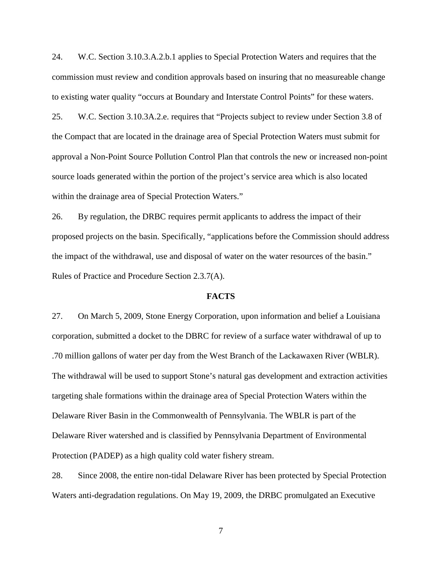24. W.C. Section 3.10.3.A.2.b.1 applies to Special Protection Waters and requires that the commission must review and condition approvals based on insuring that no measureable change to existing water quality "occurs at Boundary and Interstate Control Points" for these waters.

25. W.C. Section 3.10.3A.2.e. requires that "Projects subject to review under Section 3.8 of the Compact that are located in the drainage area of Special Protection Waters must submit for approval a Non-Point Source Pollution Control Plan that controls the new or increased non-point source loads generated within the portion of the project's service area which is also located within the drainage area of Special Protection Waters."

26. By regulation, the DRBC requires permit applicants to address the impact of their proposed projects on the basin. Specifically, "applications before the Commission should address the impact of the withdrawal, use and disposal of water on the water resources of the basin." Rules of Practice and Procedure Section 2.3.7(A).

#### **FACTS**

27. On March 5, 2009, Stone Energy Corporation, upon information and belief a Louisiana corporation, submitted a docket to the DBRC for review of a surface water withdrawal of up to .70 million gallons of water per day from the West Branch of the Lackawaxen River (WBLR). The withdrawal will be used to support Stone's natural gas development and extraction activities targeting shale formations within the drainage area of Special Protection Waters within the Delaware River Basin in the Commonwealth of Pennsylvania. The WBLR is part of the Delaware River watershed and is classified by Pennsylvania Department of Environmental Protection (PADEP) as a high quality cold water fishery stream.

28. Since 2008, the entire non-tidal Delaware River has been protected by Special Protection Waters anti-degradation regulations. On May 19, 2009, the DRBC promulgated an Executive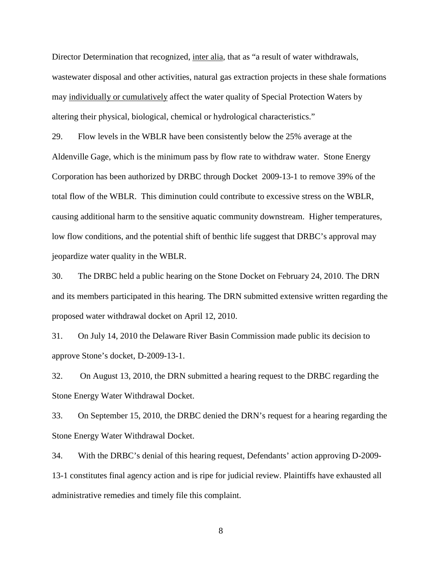Director Determination that recognized, inter alia, that as "a result of water withdrawals, wastewater disposal and other activities, natural gas extraction projects in these shale formations may individually or cumulatively affect the water quality of Special Protection Waters by altering their physical, biological, chemical or hydrological characteristics."

29. Flow levels in the WBLR have been consistently below the 25% average at the Aldenville Gage, which is the minimum pass by flow rate to withdraw water. Stone Energy Corporation has been authorized by DRBC through Docket 2009-13-1 to remove 39% of the total flow of the WBLR. This diminution could contribute to excessive stress on the WBLR, causing additional harm to the sensitive aquatic community downstream. Higher temperatures, low flow conditions, and the potential shift of benthic life suggest that DRBC's approval may jeopardize water quality in the WBLR.

30. The DRBC held a public hearing on the Stone Docket on February 24, 2010. The DRN and its members participated in this hearing. The DRN submitted extensive written regarding the proposed water withdrawal docket on April 12, 2010.

31. On July 14, 2010 the Delaware River Basin Commission made public its decision to approve Stone's docket, D-2009-13-1.

32. On August 13, 2010, the DRN submitted a hearing request to the DRBC regarding the Stone Energy Water Withdrawal Docket.

33. On September 15, 2010, the DRBC denied the DRN's request for a hearing regarding the Stone Energy Water Withdrawal Docket.

34. With the DRBC's denial of this hearing request, Defendants' action approving D-2009- 13-1 constitutes final agency action and is ripe for judicial review. Plaintiffs have exhausted all administrative remedies and timely file this complaint.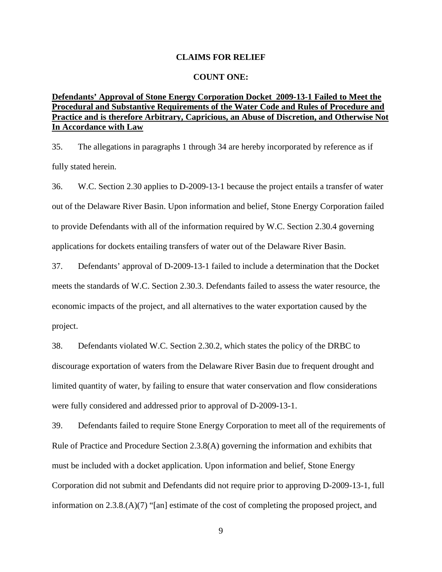#### **CLAIMS FOR RELIEF**

#### **COUNT ONE:**

### **Defendants' Approval of Stone Energy Corporation Docket 2009-13-1 Failed to Meet the Procedural and Substantive Requirements of the Water Code and Rules of Procedure and Practice and is therefore Arbitrary, Capricious, an Abuse of Discretion, and Otherwise Not In Accordance with Law**

35. The allegations in paragraphs 1 through 34 are hereby incorporated by reference as if fully stated herein.

36. W.C. Section 2.30 applies to D-2009-13-1 because the project entails a transfer of water out of the Delaware River Basin. Upon information and belief, Stone Energy Corporation failed to provide Defendants with all of the information required by W.C. Section 2.30.4 governing applications for dockets entailing transfers of water out of the Delaware River Basin.

37. Defendants' approval of D-2009-13-1 failed to include a determination that the Docket meets the standards of W.C. Section 2.30.3. Defendants failed to assess the water resource, the economic impacts of the project, and all alternatives to the water exportation caused by the project.

38. Defendants violated W.C. Section 2.30.2, which states the policy of the DRBC to discourage exportation of waters from the Delaware River Basin due to frequent drought and limited quantity of water, by failing to ensure that water conservation and flow considerations were fully considered and addressed prior to approval of D-2009-13-1.

39. Defendants failed to require Stone Energy Corporation to meet all of the requirements of Rule of Practice and Procedure Section 2.3.8(A) governing the information and exhibits that must be included with a docket application. Upon information and belief, Stone Energy Corporation did not submit and Defendants did not require prior to approving D-2009-13-1, full information on 2.3.8.(A)(7) "[an] estimate of the cost of completing the proposed project, and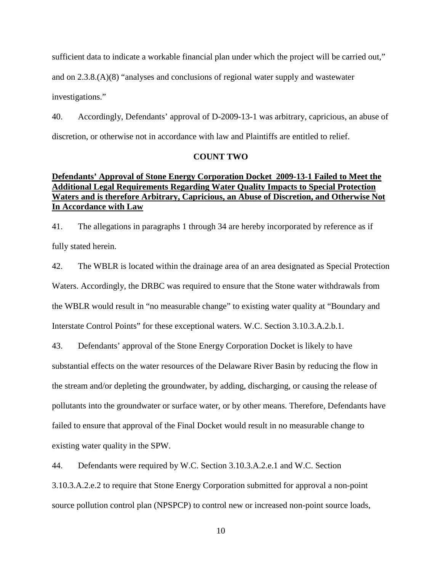sufficient data to indicate a workable financial plan under which the project will be carried out,"

and on 2.3.8.(A)(8) "analyses and conclusions of regional water supply and wastewater

investigations."

40. Accordingly, Defendants' approval of D-2009-13-1 was arbitrary, capricious, an abuse of discretion, or otherwise not in accordance with law and Plaintiffs are entitled to relief.

### **COUNT TWO**

## **Defendants' Approval of Stone Energy Corporation Docket 2009-13-1 Failed to Meet the Additional Legal Requirements Regarding Water Quality Impacts to Special Protection Waters and is therefore Arbitrary, Capricious, an Abuse of Discretion, and Otherwise Not In Accordance with Law**

41. The allegations in paragraphs 1 through 34 are hereby incorporated by reference as if fully stated herein.

42. The WBLR is located within the drainage area of an area designated as Special Protection Waters. Accordingly, the DRBC was required to ensure that the Stone water withdrawals from the WBLR would result in "no measurable change" to existing water quality at "Boundary and Interstate Control Points" for these exceptional waters. W.C. Section 3.10.3.A.2.b.1.

43. Defendants' approval of the Stone Energy Corporation Docket is likely to have substantial effects on the water resources of the Delaware River Basin by reducing the flow in the stream and/or depleting the groundwater, by adding, discharging, or causing the release of pollutants into the groundwater or surface water, or by other means. Therefore, Defendants have failed to ensure that approval of the Final Docket would result in no measurable change to existing water quality in the SPW.

44. Defendants were required by W.C. Section 3.10.3.A.2.e.1 and W.C. Section

3.10.3.A.2.e.2 to require that Stone Energy Corporation submitted for approval a non-point source pollution control plan (NPSPCP) to control new or increased non-point source loads,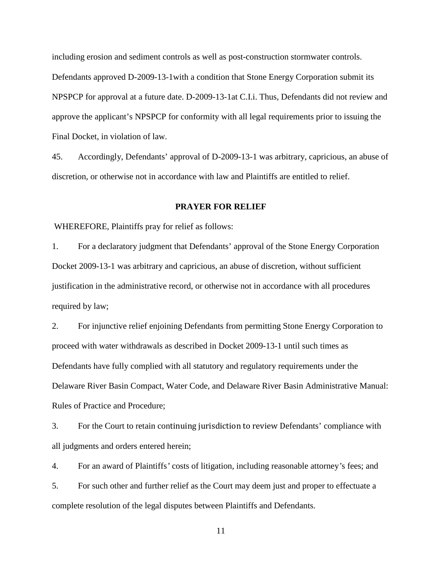including erosion and sediment controls as well as post-construction stormwater controls. Defendants approved D-2009-13-1with a condition that Stone Energy Corporation submit its NPSPCP for approval at a future date. D-2009-13-1at C.I.i. Thus, Defendants did not review and approve the applicant's NPSPCP for conformity with all legal requirements prior to issuing the Final Docket, in violation of law.

45. Accordingly, Defendants' approval of D-2009-13-1 was arbitrary, capricious, an abuse of discretion, or otherwise not in accordance with law and Plaintiffs are entitled to relief.

### **PRAYER FOR RELIEF**

WHEREFORE, Plaintiffs pray for relief as follows:

1. For a declaratory judgment that Defendants' approval of the Stone Energy Corporation Docket 2009-13-1 was arbitrary and capricious, an abuse of discretion, without sufficient justification in the administrative record, or otherwise not in accordance with all procedures required by law;

2. For injunctive relief enjoining Defendants from permitting Stone Energy Corporation to proceed with water withdrawals as described in Docket 2009-13-1 until such times as Defendants have fully complied with all statutory and regulatory requirements under the Delaware River Basin Compact, Water Code, and Delaware River Basin Administrative Manual: Rules of Practice and Procedure;

3. For the Court to retain continuing jurisdiction to review Defendants' compliance with all judgments and orders entered herein;

4. For an award of Plaintiffs*'* costs of litigation, including reasonable attorney*'*s fees; and 5. For such other and further relief as the Court may deem just and proper to effectuate a complete resolution of the legal disputes between Plaintiffs and Defendants.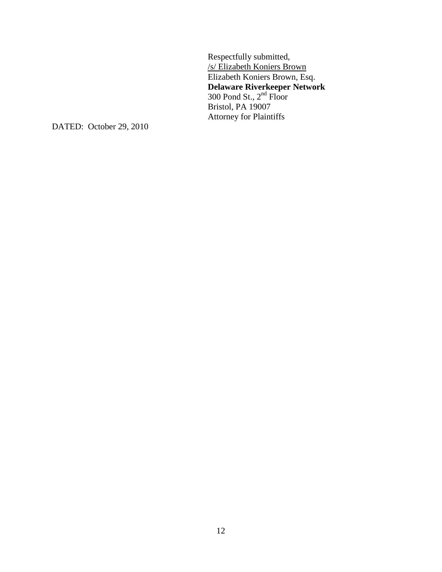Respectfully submitted, /s/ Elizabeth Koniers Brown Elizabeth Koniers Brown, Esq. **Delaware Riverkeeper Network** 300 Pond St.,  $2<sup>nd</sup>$  Floor Bristol, PA 19007 Attorney for Plaintiffs

DATED: October 29, 2010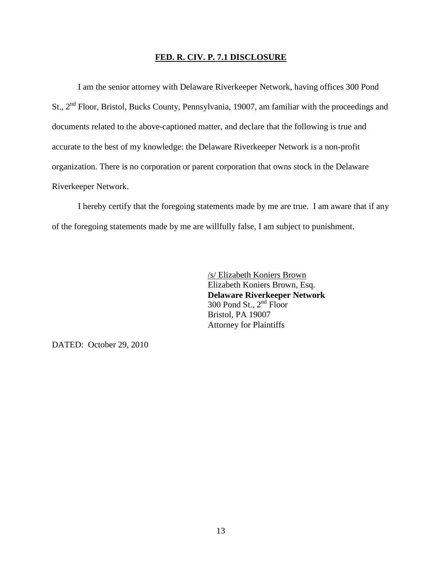#### **FED. R. CIV. P. 7.1 DISCLOSURE**

I am the senior attorney with Delaware Riverkeeper Network, having offices 300 Pond St., 2nd Floor, Bristol, Bucks County, Pennsylvania, 19007, am familiar with the proceedings and documents related to the above-captioned matter, and declare that the following is true and accurate to the best of my knowledge: the Delaware Riverkeeper Network is a non-profit organization. There is no corporation or parent corporation that owns stock in the Delaware Riverkeeper Network.

I hereby certify that the foregoing statements made by me are true. I am aware that if any of the foregoing statements made by me are willfully false, I am subject to punishment.

> /s/ Elizabeth Koniers Brown Elizabeth Koniers Brown, Esq. **Delaware Riverkeeper Network** 300 Pond St.,  $2<sup>nd</sup>$  Floor Bristol, PA 19007 Attorney for Plaintiffs

DATED: October 29, 2010